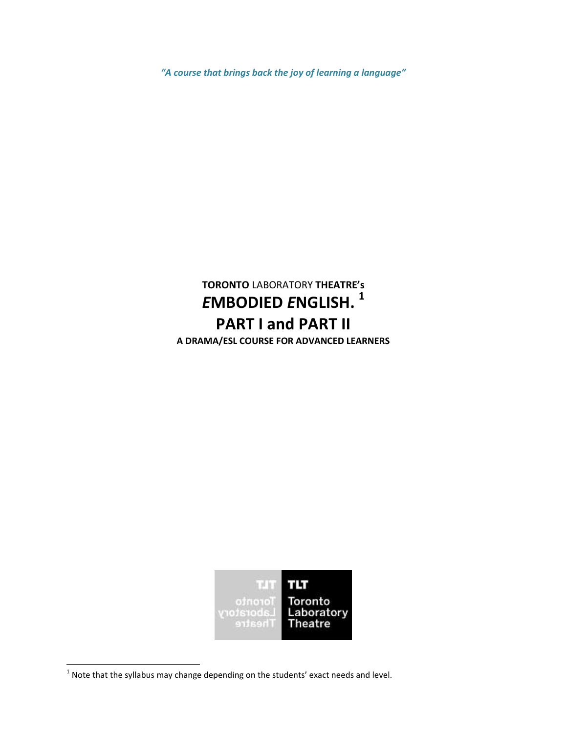*"A course that brings back the joy of learning a language"*

# **TORONTO** LABORATORY **THEATRE's** *E***MBODIED** *E***NGLISH. 1 PART I and PART II A DRAMA/ESL COURSE FOR ADVANCED LEARNERS**



**THE 1998**<br><sup>1</sup> Note that the syllabus may change depending on the students' exact needs and level.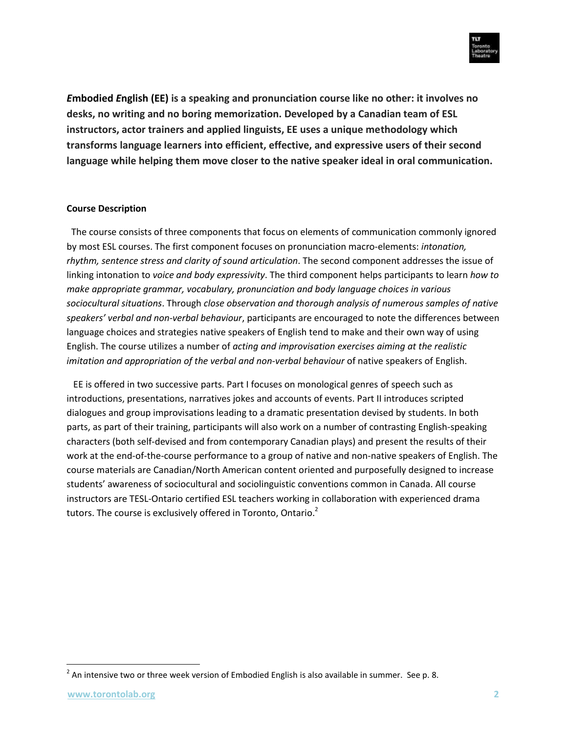

*E***mbodied** *E***nglish (EE) is a speaking and pronunciation course like no other: it involves no desks, no writing and no boring memorization. Developed by a Canadian team of ESL instructors, actor trainers and applied linguists, EE uses a unique methodology which transforms language learners into efficient, effective, and expressive users of their second language while helping them move closer to the native speaker ideal in oral communication.**

#### **Course Description**

The course consists of three components that focus on elements of communication commonly ignored by most ESL courses. The first component focuses on pronunciation macro-elements: *intonation, rhythm, sentence stress and clarity of sound articulation*. The second component addresses the issue of linking intonation to *voice and body expressivity*. The third component helps participants to learn *how to make appropriate grammar, vocabulary, pronunciation and body language choices in various sociocultural situations*. Through *close observation and thorough analysis of numerous samples of native speakers' verbal and non-verbal behaviour*, participants are encouraged to note the differences between language choices and strategies native speakers of English tend to make and their own way of using English. The course utilizes a number of *acting and improvisation exercises aiming at the realistic imitation and appropriation of the verbal and non-verbal behaviour* of native speakers of English.

EE is offered in two successive parts. Part I focuses on monological genres of speech such as introductions, presentations, narratives jokes and accounts of events. Part II introduces scripted dialogues and group improvisations leading to a dramatic presentation devised by students. In both parts, as part of their training, participants will also work on a number of contrasting English-speaking characters (both self-devised and from contemporary Canadian plays) and present the results of their work at the end-of-the-course performance to a group of native and non-native speakers of English. The course materials are Canadian/North American content oriented and purposefully designed to increase students' awareness of sociocultural and sociolinguistic conventions common in Canada. All course instructors are TESL-Ontario certified ESL teachers working in collaboration with experienced drama tutors. The course is exclusively offered in Toronto, Ontario.<sup>2</sup>

 $\overline{\phantom{a}}$ 

 $^{2}$  An intensive two or three week version of Embodied English is also available in summer. See p. 8.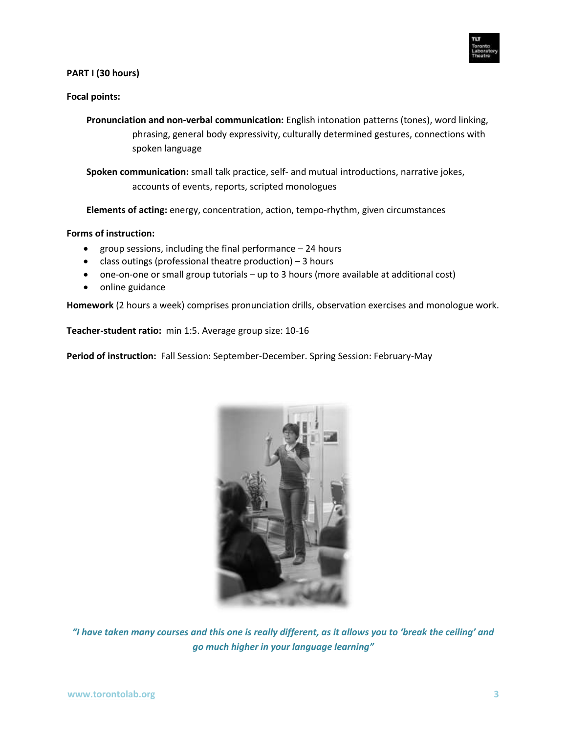

#### **PART I (30 hours)**

#### **Focal points:**

- **Pronunciation and non-verbal communication:** English intonation patterns (tones), word linking, phrasing, general body expressivity, culturally determined gestures, connections with spoken language
- **Spoken communication:** small talk practice, self- and mutual introductions, narrative jokes, accounts of events, reports, scripted monologues

**Elements of acting:** energy, concentration, action, tempo-rhythm, given circumstances

#### **Forms of instruction:**

- group sessions, including the final performance 24 hours
- class outings (professional theatre production) 3 hours
- one-on-one or small group tutorials up to 3 hours (more available at additional cost)
- online guidance

**Homework** (2 hours a week) comprises pronunciation drills, observation exercises and monologue work.

**Teacher-student ratio:** min 1:5. Average group size: 10-16

**Period of instruction:** Fall Session: September-December. Spring Session: February-May



*"I have taken many courses and this one is really different, as it allows you to 'break the ceiling' and go much higher in your language learning"*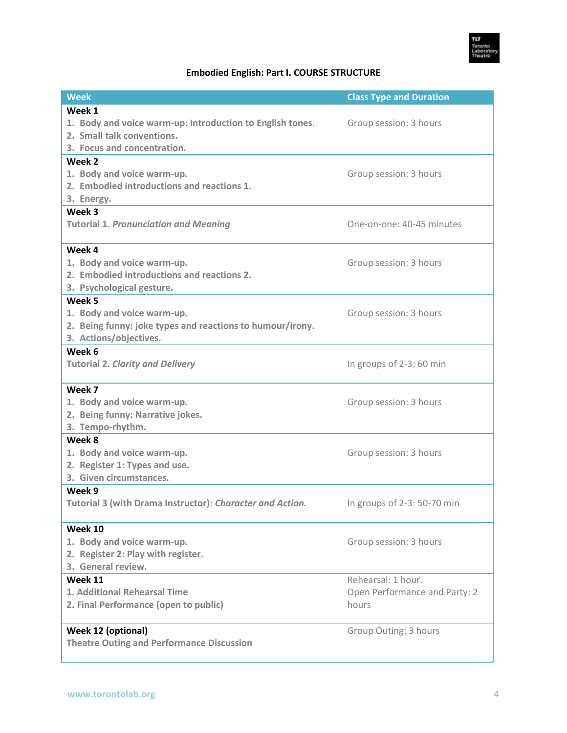

# **Embodied English: Part I. COURSE STRUCTURE**

| <b>Week</b>                                               | <b>Class Type and Duration</b> |  |
|-----------------------------------------------------------|--------------------------------|--|
| Week 1                                                    |                                |  |
| 1. Body and voice warm-up: Introduction to English tones. | Group session: 3 hours         |  |
| 2. Small talk conventions.                                |                                |  |
| 3. Focus and concentration.                               |                                |  |
| Week 2                                                    |                                |  |
| 1. Body and voice warm-up.                                | Group session: 3 hours         |  |
| 2. Embodied introductions and reactions 1.                |                                |  |
| 3. Energy.                                                |                                |  |
| Week 3                                                    |                                |  |
| <b>Tutorial 1. Pronunciation and Meaning</b>              | One-on-one: 40-45 minutes      |  |
|                                                           |                                |  |
| Week 4                                                    |                                |  |
| 1. Body and voice warm-up.                                | Group session: 3 hours         |  |
| 2. Embodied introductions and reactions 2.                |                                |  |
| 3. Psychological gesture.                                 |                                |  |
| Week 5                                                    |                                |  |
| 1. Body and voice warm-up.                                | Group session: 3 hours         |  |
| 2. Being funny: joke types and reactions to humour/irony. |                                |  |
| 3. Actions/objectives.                                    |                                |  |
| Week 6                                                    |                                |  |
| <b>Tutorial 2. Clarity and Delivery</b>                   | In groups of 2-3: 60 min       |  |
| Week 7                                                    |                                |  |
| 1. Body and voice warm-up.                                | Group session: 3 hours         |  |
| 2. Being funny: Narrative jokes.                          |                                |  |
| 3. Tempo-rhythm.                                          |                                |  |
| Week 8                                                    |                                |  |
| 1. Body and voice warm-up.                                | Group session: 3 hours         |  |
| 2. Register 1: Types and use.                             |                                |  |
| 3. Given circumstances.                                   |                                |  |
| Week 9                                                    |                                |  |
| Tutorial 3 (with Drama Instructor): Character and Action. | In groups of 2-3: 50-70 min    |  |
|                                                           |                                |  |
| Week 10                                                   |                                |  |
| 1. Body and voice warm-up.                                | Group session: 3 hours         |  |
| 2. Register 2: Play with register.                        |                                |  |
| 3. General review.                                        |                                |  |
| Week 11                                                   | Rehearsal: 1 hour.             |  |
| <b>1. Additional Rehearsal Time</b>                       | Open Performance and Party: 2  |  |
| 2. Final Performance (open to public)                     | hours                          |  |
|                                                           |                                |  |
| Week 12 (optional)                                        | Group Outing: 3 hours          |  |
| <b>Theatre Outing and Performance Discussion</b>          |                                |  |
|                                                           |                                |  |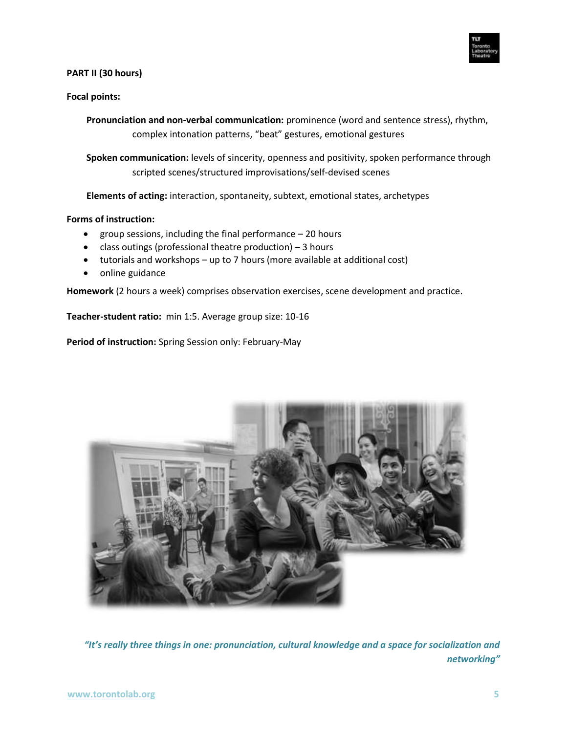

#### **PART II (30 hours)**

# **Focal points:**

**Pronunciation and non-verbal communication:** prominence (word and sentence stress), rhythm, complex intonation patterns, "beat" gestures, emotional gestures

**Spoken communication:** levels of sincerity, openness and positivity, spoken performance through scripted scenes/structured improvisations/self-devised scenes

**Elements of acting:** interaction, spontaneity, subtext, emotional states, archetypes

#### **Forms of instruction:**

- group sessions, including the final performance  $-20$  hours
- class outings (professional theatre production) 3 hours
- tutorials and workshops up to 7 hours (more available at additional cost)
- online guidance

**Homework** (2 hours a week) comprises observation exercises, scene development and practice.

**Teacher-student ratio:** min 1:5. Average group size: 10-16

**Period of instruction:** Spring Session only: February-May



*"It's really three things in one: pronunciation, cultural knowledge and a space for socialization and networking"*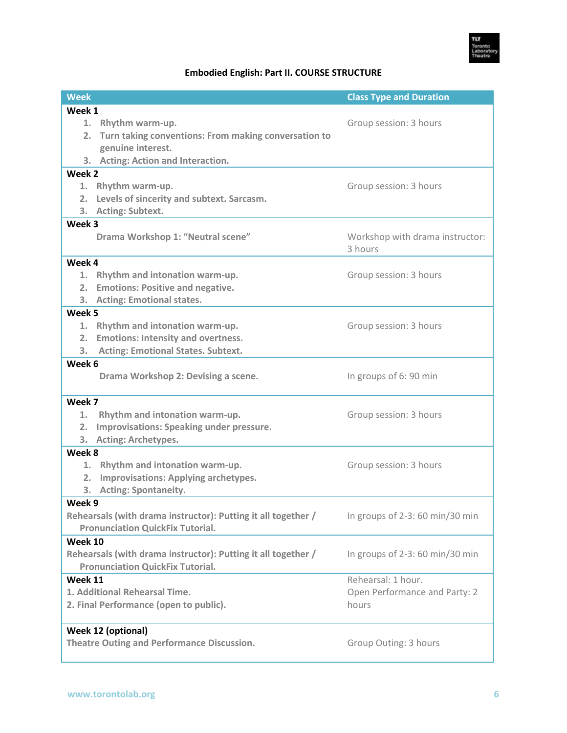

# **Embodied English: Part II. COURSE STRUCTURE**

| <b>Week</b>                                                                |                                                               | <b>Class Type and Duration</b>     |  |
|----------------------------------------------------------------------------|---------------------------------------------------------------|------------------------------------|--|
| Week 1                                                                     |                                                               |                                    |  |
| 1.                                                                         | Rhythm warm-up.                                               | Group session: 3 hours             |  |
| 2.                                                                         | Turn taking conventions: From making conversation to          |                                    |  |
|                                                                            | genuine interest.                                             |                                    |  |
|                                                                            | 3. Acting: Action and Interaction.                            |                                    |  |
| Week 2                                                                     |                                                               |                                    |  |
|                                                                            | 1. Rhythm warm-up.                                            | Group session: 3 hours             |  |
| 2.                                                                         | Levels of sincerity and subtext. Sarcasm.                     |                                    |  |
| 3.                                                                         | <b>Acting: Subtext.</b>                                       |                                    |  |
| Week 3                                                                     |                                                               |                                    |  |
|                                                                            | Drama Workshop 1: "Neutral scene"                             | Workshop with drama instructor:    |  |
|                                                                            |                                                               | 3 hours                            |  |
| Week 4                                                                     |                                                               |                                    |  |
|                                                                            | 1. Rhythm and intonation warm-up.                             | Group session: 3 hours             |  |
|                                                                            | 2. Emotions: Positive and negative.                           |                                    |  |
| 3.                                                                         | <b>Acting: Emotional states.</b>                              |                                    |  |
| Week 5                                                                     |                                                               |                                    |  |
|                                                                            | 1. Rhythm and intonation warm-up.                             | Group session: 3 hours             |  |
| 2.                                                                         | <b>Emotions: Intensity and overtness.</b>                     |                                    |  |
| 3.                                                                         | <b>Acting: Emotional States. Subtext.</b>                     |                                    |  |
| Week 6                                                                     |                                                               |                                    |  |
|                                                                            | Drama Workshop 2: Devising a scene.                           | In groups of 6: 90 min             |  |
|                                                                            |                                                               |                                    |  |
| Week 7                                                                     |                                                               |                                    |  |
| 1.                                                                         | Rhythm and intonation warm-up.                                | Group session: 3 hours             |  |
| 2.                                                                         | Improvisations: Speaking under pressure.                      |                                    |  |
| 3. .                                                                       | Acting: Archetypes.                                           |                                    |  |
| Week 8                                                                     |                                                               |                                    |  |
| 1.                                                                         | Rhythm and intonation warm-up.                                | Group session: 3 hours             |  |
| 2.                                                                         | <b>Improvisations: Applying archetypes.</b>                   |                                    |  |
| 3.                                                                         | <b>Acting: Spontaneity.</b>                                   |                                    |  |
| Week 9                                                                     |                                                               |                                    |  |
|                                                                            | Rehearsals (with drama instructor): Putting it all together / | In groups of $2-3$ : 60 min/30 min |  |
|                                                                            | <b>Pronunciation QuickFix Tutorial.</b>                       |                                    |  |
| Week 10                                                                    |                                                               |                                    |  |
|                                                                            | Rehearsals (with drama instructor): Putting it all together / | In groups of $2-3$ : 60 min/30 min |  |
|                                                                            | <b>Pronunciation QuickFix Tutorial.</b>                       |                                    |  |
| Week 11                                                                    |                                                               | Rehearsal: 1 hour.                 |  |
| 1. Additional Rehearsal Time.                                              |                                                               | Open Performance and Party: 2      |  |
| 2. Final Performance (open to public).                                     |                                                               | hours                              |  |
|                                                                            |                                                               |                                    |  |
| Week 12 (optional)                                                         |                                                               |                                    |  |
| <b>Theatre Outing and Performance Discussion.</b><br>Group Outing: 3 hours |                                                               |                                    |  |
|                                                                            |                                                               |                                    |  |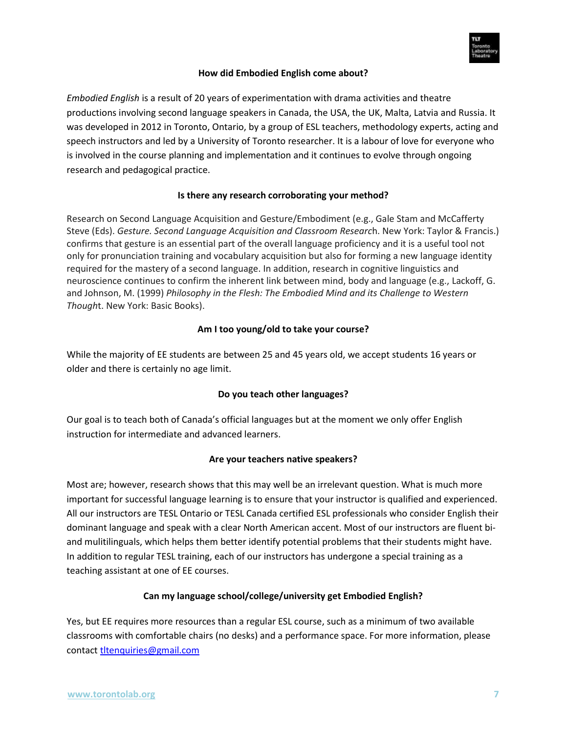

### **How did Embodied English come about?**

*Embodied English* is a result of 20 years of experimentation with drama activities and theatre productions involving second language speakers in Canada, the USA, the UK, Malta, Latvia and Russia. It was developed in 2012 in Toronto, Ontario, by a group of ESL teachers, methodology experts, acting and speech instructors and led by a University of Toronto researcher. It is a labour of love for everyone who is involved in the course planning and implementation and it continues to evolve through ongoing research and pedagogical practice.

#### **Is there any research corroborating your method?**

Research on Second Language Acquisition and Gesture/Embodiment (e.g., Gale Stam and McCafferty Steve (Eds). *Gesture. Second Language Acquisition and Classroom Researc*h. New York: Taylor & Francis.) confirms that gesture is an essential part of the overall language proficiency and it is a useful tool not only for pronunciation training and vocabulary acquisition but also for forming a new language identity required for the mastery of a second language. In addition, research in cognitive linguistics and neuroscience continues to confirm the inherent link between mind, body and language (e.g., Lackoff, G. and Johnson, M. (1999) *Philosophy in the Flesh: The Embodied Mind and its Challenge to Western Though*t. New York: Basic Books).

#### **Am I too young/old to take your course?**

While the majority of EE students are between 25 and 45 years old, we accept students 16 years or older and there is certainly no age limit.

# **Do you teach other languages?**

Our goal is to teach both of Canada's official languages but at the moment we only offer English instruction for intermediate and advanced learners.

#### **Are your teachers native speakers?**

Most are; however, research shows that this may well be an irrelevant question. What is much more important for successful language learning is to ensure that your instructor is qualified and experienced. All our instructors are TESL Ontario or TESL Canada certified ESL professionals who consider English their dominant language and speak with a clear North American accent. Most of our instructors are fluent biand mulitilinguals, which helps them better identify potential problems that their students might have. In addition to regular TESL training, each of our instructors has undergone a special training as a teaching assistant at one of EE courses.

# **Can my language school/college/university get Embodied English?**

Yes, but EE requires more resources than a regular ESL course, such as a minimum of two available classrooms with comfortable chairs (no desks) and a performance space. For more information, please contact [tltenquiries@gmail.com](mailto:tltenquiries@gmail.com)